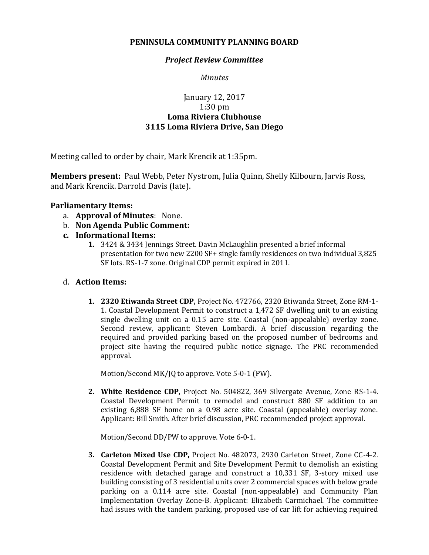## **PENINSULA COMMUNITY PLANNING BOARD**

## *Project Review Committee*

*Minutes*

# January 12, 2017 1:30 pm **Loma Riviera Clubhouse 3115 Loma Riviera Drive, San Diego**

Meeting called to order by chair, Mark Krencik at 1:35pm.

**Members present:** Paul Webb, Peter Nystrom, Julia Quinn, Shelly Kilbourn, Jarvis Ross, and Mark Krencik. Darrold Davis (late).

## **Parliamentary Items:**

- a. **Approval of Minutes**: None.
- b. **Non Agenda Public Comment:**
- **c. Informational Items:**
	- **1.** 3424 & 3434 Jennings Street. Davin McLaughlin presented a brief informal presentation for two new 2200 SF+ single family residences on two individual 3,825 SF lots. RS-1-7 zone. Original CDP permit expired in 2011.

#### d. **Action Items:**

**1. 2320 Etiwanda Street CDP,** Project No. 472766, 2320 Etiwanda Street, Zone RM-1- 1. Coastal Development Permit to construct a 1,472 SF dwelling unit to an existing single dwelling unit on a 0.15 acre site. Coastal (non-appealable) overlay zone. Second review, applicant: Steven Lombardi. A brief discussion regarding the required and provided parking based on the proposed number of bedrooms and project site having the required public notice signage. The PRC recommended approval.

Motion/Second MK/JQ to approve. Vote 5-0-1 (PW).

**2. White Residence CDP,** Project No. 504822, 369 Silvergate Avenue, Zone RS-1-4. Coastal Development Permit to remodel and construct 880 SF addition to an existing 6,888 SF home on a 0.98 acre site. Coastal (appealable) overlay zone. Applicant: Bill Smith. After brief discussion, PRC recommended project approval.

Motion/Second DD/PW to approve. Vote 6-0-1.

**3. Carleton Mixed Use CDP,** Project No. 482073, 2930 Carleton Street, Zone CC-4-2. Coastal Development Permit and Site Development Permit to demolish an existing residence with detached garage and construct a 10,331 SF, 3-story mixed use building consisting of 3 residential units over 2 commercial spaces with below grade parking on a 0.114 acre site. Coastal (non-appealable) and Community Plan Implementation Overlay Zone-B. Applicant: Elizabeth Carmichael. The committee had issues with the tandem parking, proposed use of car lift for achieving required